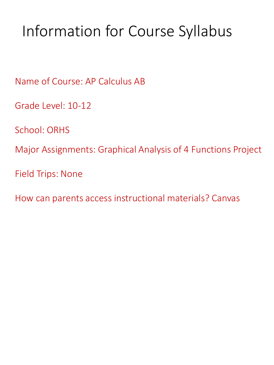# Information for Course Syllabus

Name of Course: AP Calculus AB

Grade Level: 10-12

School: ORHS

Major Assignments: Graphical Analysis of 4 Functions Project

Field Trips: None

How can parents access instructional materials? Canvas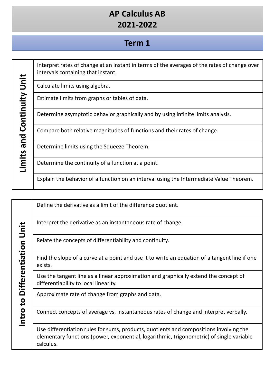### **Term 1**

|                                  | Interpret rates of change at an instant in terms of the averages of the rates of change over<br>intervals containing that instant. |
|----------------------------------|------------------------------------------------------------------------------------------------------------------------------------|
| Continuity Unit<br>and<br>Limits | Calculate limits using algebra.                                                                                                    |
|                                  | Estimate limits from graphs or tables of data.                                                                                     |
|                                  | Determine asymptotic behavior graphically and by using infinite limits analysis.                                                   |
|                                  | Compare both relative magnitudes of functions and their rates of change.                                                           |
|                                  | Determine limits using the Squeeze Theorem.                                                                                        |
|                                  | Determine the continuity of a function at a point.                                                                                 |
|                                  | Explain the behavior of a function on an interval using the Intermediate Value Theorem.                                            |

|                               | Define the derivative as a limit of the difference quotient.                                                                                                                                    |
|-------------------------------|-------------------------------------------------------------------------------------------------------------------------------------------------------------------------------------------------|
|                               | Interpret the derivative as an instantaneous rate of change.                                                                                                                                    |
|                               | Relate the concepts of differentiability and continuity.                                                                                                                                        |
| Intro to Differentiation Unit | Find the slope of a curve at a point and use it to write an equation of a tangent line if one<br>exists.                                                                                        |
|                               | Use the tangent line as a linear approximation and graphically extend the concept of<br>differentiability to local linearity.                                                                   |
|                               | Approximate rate of change from graphs and data.                                                                                                                                                |
|                               | Connect concepts of average vs. instantaneous rates of change and interpret verbally.                                                                                                           |
|                               | Use differentiation rules for sums, products, quotients and compositions involving the<br>elementary functions (power, exponential, logarithmic, trigonometric) of single variable<br>calculus. |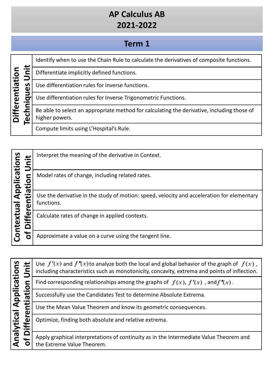# **Term 1**

| ifferentiation |        | Identify when to use the Chain Rule to calculate the derivatives of composite functions.                     |
|----------------|--------|--------------------------------------------------------------------------------------------------------------|
|                |        | Differentiate implicitly defined functions.                                                                  |
|                | n<br>α | Use differentiation rules for inverse functions.                                                             |
|                | σ      | Use differentiation rules for Inverse Trigonometric Functions.                                               |
|                |        | Be able to select an appropriate method for calculating the derivative, including those of<br>higher powers. |
|                |        | Compute limits using L'Hospital's Rule.                                                                      |

| <u>ທ</u>                |   | Interpret the meaning of the derivative in Context.                                                      |
|-------------------------|---|----------------------------------------------------------------------------------------------------------|
| pplication<br>$\bullet$ |   | Model rates of change, including related rates.                                                          |
|                         |   | Use the derivative in the study of motion: speed, velocity and acceleration for elementary<br>functions. |
| ntextual                | ω | Calculate rates of change in applied contexts.                                                           |
|                         | O | Approximate a value on a curve using the tangent line.                                                   |

| lications             | Use $f'(x)$ and $f''(x)$ to analyze both the local and global behavior of the graph of $f(x)$ ,<br>including characteristics such as monotonicity, concavity, extrema and points of inflection. |
|-----------------------|-------------------------------------------------------------------------------------------------------------------------------------------------------------------------------------------------|
| $\bullet$             | Find corresponding relationships among the graphs of $f(x)$ , $f'(x)$ , and $f''(x)$ .                                                                                                          |
| Appl<br>+<br>σ        | Successfully use the Candidates Test to determine Absolute Extrema.                                                                                                                             |
| $\boldsymbol{\omega}$ | Use the Mean Value Theorem and know its geometric consequences.                                                                                                                                 |
| lytical<br><b>E</b>   | Optimize, finding both absolute and relative extrema.                                                                                                                                           |
| len<br>↬              | Apply graphical interpretations of continuity as in the Intermediate Value Theorem and<br>the Extreme Value Theorem.                                                                            |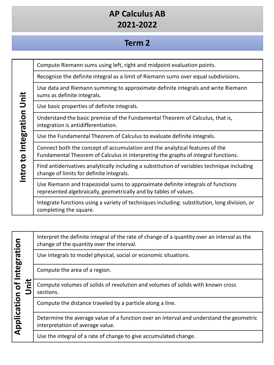#### **Term 2**

Compute Riemann sums using left, right and midpoint evaluation points.

Recognize the definite integral as a limit of Riemann sums over equal subdivisions. Use data and Riemann summing to approximate definite integrals and write Riemann Intro to Integration Unit **Intro to Integration Unit** sums as definite integrals. Use basic properties of definite integrals. Understand the basic premise of the Fundamental Theorem of Calculus, that is, integration is antidifferentiation. Use the Fundamental Theorem of Calculus to evaluate definite integrals. Connect both the concept of accumulation and the analytical features of the Fundamental Theorem of Calculus in interpreting the graphs of integral functions. Find antiderivatives analytically including a substitution of variables technique including change of limits for definite integrals. Use Riemann and trapezoidal sums to approximate definite integrals of functions represented algebraically, geometrically and by tables of values. Integrate functions using a variety of techniques including: substitution, long division, or completing the square.

Interpret the definite integral of the rate of change of a quantity over an interval as the **Application of Integration**  Application of Integration change of the quantity over the interval. Use integrals to model physical, social or economic situations. Compute the area of a region. **Unit** Compute volumes of solids of revolution and volumes of solids with known cross sections. Compute the distance traveled by a particle along a line. Determine the average value of a function over an interval and understand the geometric interpretation of average value. Use the integral of a rate of change to give accumulated change.